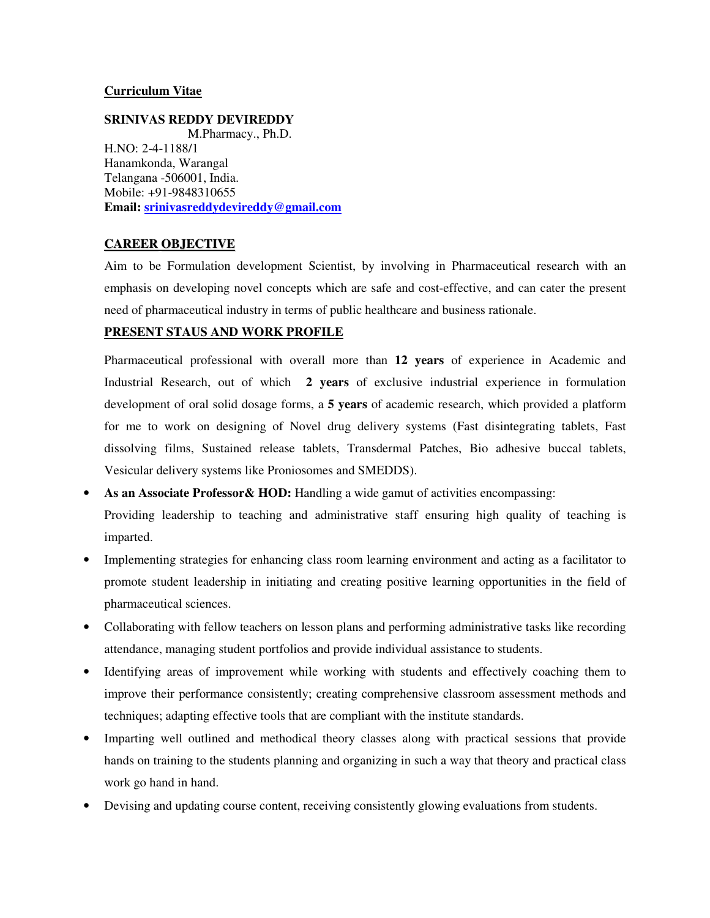### **Curriculum Vitae**

**SRINIVAS REDDY DEVIREDDY**  M.Pharmacy., Ph.D. H.NO: 2-4-1188/1 Hanamkonda, Warangal Telangana -506001, India. Mobile: +91-9848310655 **Email: srinivasreddydevireddy@gmail.com**

#### **CAREEROBJECTIVE**

Aim to be Formulation development Scientist, by involving in Pharmaceutical research with an emphasis on developing novel concepts which are safe and cost-effective, and can cater the present need of pharmaceutical industry in terms of public healthcare and business rationale.

### **PRESENT STAUS AND WORK PROFILE**

Pharmaceutical professional with overall more than **12 years** of experience in Academic and Industrial Research, out of which **2 years** of exclusive industrial experience in formulation development of oral solid dosage forms, a **5 years** of academic research, which provided a platform for me to work on designing of Novel drug delivery systems (Fast disintegrating tablets, Fast dissolving films, Sustained release tablets, Transdermal Patches, Bio adhesive buccal tablets, Vesicular delivery systems like Proniosomes and SMEDDS).

- **As an Associate Professor& HOD:** Handling a wide gamut of activities encompassing: Providing leadership to teaching and administrative staff ensuring high quality of teaching is imparted.
- Implementing strategies for enhancing class room learning environment and acting as a facilitator to promote student leadership in initiating and creating positive learning opportunities in the field of pharmaceutical sciences.
- Collaborating with fellow teachers on lesson plans and performing administrative tasks like recording attendance, managing student portfolios and provide individual assistance to students.
- Identifying areas of improvement while working with students and effectively coaching them to improve their performance consistently; creating comprehensive classroom assessment methods and techniques; adapting effective tools that are compliant with the institute standards.
- Imparting well outlined and methodical theory classes along with practical sessions that provide hands on training to the students planning and organizing in such a way that theory and practical class work go hand in hand.
- Devising and updating course content, receiving consistently glowing evaluations from students.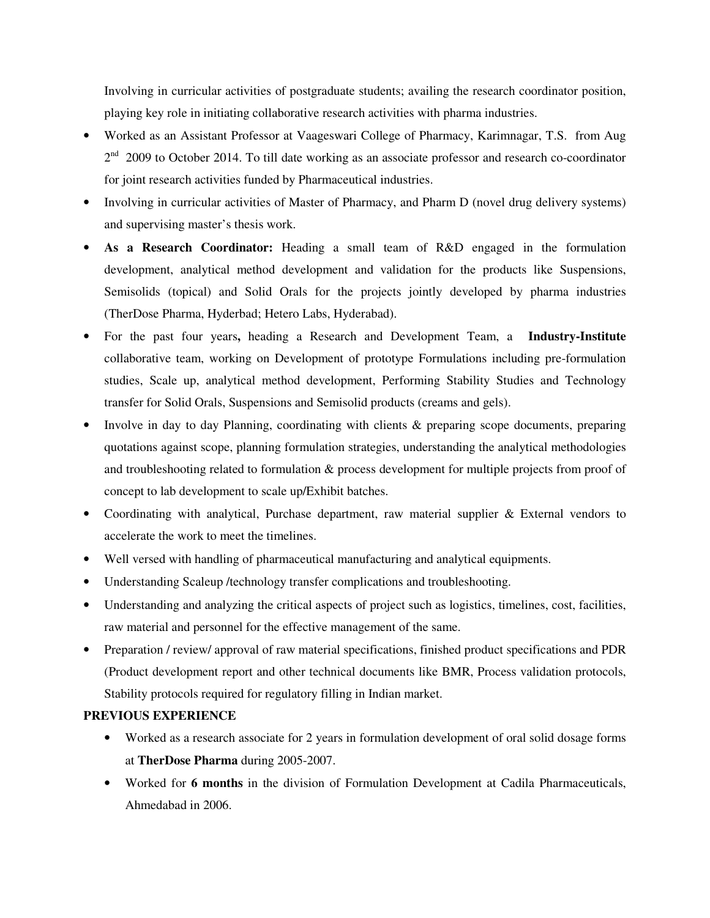Involving in curricular activities of postgraduate students; availing the research coordinator position, playing key role in initiating collaborative research activities with pharma industries.

- Worked as an Assistant Professor at Vaageswari College of Pharmacy, Karimnagar, T.S. from Aug 2<sup>nd</sup> 2009 to October 2014. To till date working as an associate professor and research co-coordinator for joint research activities funded by Pharmaceutical industries.
- Involving in curricular activities of Master of Pharmacy, and Pharm D (novel drug delivery systems) and supervising master's thesis work.
- **As a Research Coordinator:** Heading a small team of R&D engaged in the formulation development, analytical method development and validation for the products like Suspensions, Semisolids (topical) and Solid Orals for the projects jointly developed by pharma industries (TherDose Pharma, Hyderbad; Hetero Labs, Hyderabad).
- For the past four years**,** heading a Research and Development Team, a **Industry-Institute** collaborative team, working on Development of prototype Formulations including pre-formulation studies, Scale up, analytical method development, Performing Stability Studies and Technology transfer for Solid Orals, Suspensions and Semisolid products (creams and gels).
- Involve in day to day Planning, coordinating with clients & preparing scope documents, preparing quotations against scope, planning formulation strategies, understanding the analytical methodologies and troubleshooting related to formulation & process development for multiple projects from proof of concept to lab development to scale up/Exhibit batches.
- Coordinating with analytical, Purchase department, raw material supplier & External vendors to accelerate the work to meet the timelines.
- Well versed with handling of pharmaceutical manufacturing and analytical equipments.
- Understanding Scaleup /technology transfer complications and troubleshooting.
- Understanding and analyzing the critical aspects of project such as logistics, timelines, cost, facilities, raw material and personnel for the effective management of the same.
- Preparation / review/ approval of raw material specifications, finished product specifications and PDR (Product development report and other technical documents like BMR, Process validation protocols, Stability protocols required for regulatory filling in Indian market.

### **PREVIOUS EXPERIENCE**

- Worked as a research associate for 2 years in formulation development of oral solid dosage forms at **TherDose Pharma** during 2005-2007.
- Worked for **6 months** in the division of Formulation Development at Cadila Pharmaceuticals, Ahmedabad in 2006.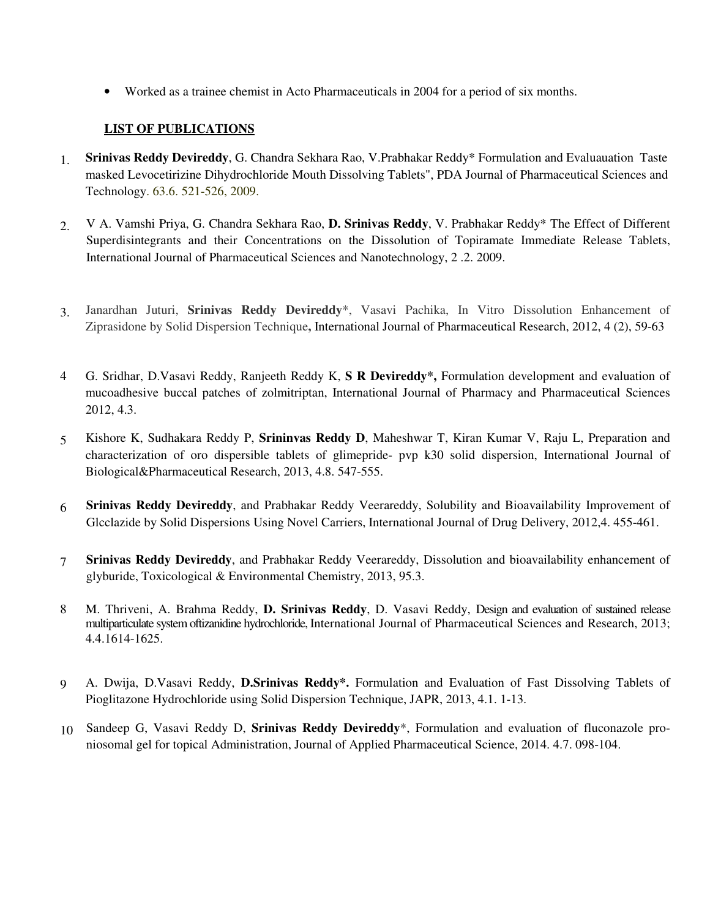• Worked as a trainee chemist in Acto Pharmaceuticals in 2004 for a period of six months.

# **LIST OF PUBLICATIONS**

- 1. **Srinivas Reddy Devireddy**, G. Chandra Sekhara Rao, V.Prabhakar Reddy\* Formulation and Evaluauation Taste masked Levocetirizine Dihydrochloride Mouth Dissolving Tablets", PDA Journal of Pharmaceutical Sciences and Technology. 63.6. 521-526, 2009.
- 2. V A. Vamshi Priya, G. Chandra Sekhara Rao, **D. Srinivas Reddy**, V. Prabhakar Reddy\* The Effect of Different Superdisintegrants and their Concentrations on the Dissolution of Topiramate Immediate Release Tablets, International Journal of Pharmaceutical Sciences and Nanotechnology, 2 .2. 2009.
- 3. Janardhan Juturi, **Srinivas Reddy Devireddy**\*, Vasavi Pachika, In Vitro Dissolution Enhancement of Ziprasidone by Solid Dispersion Technique**,** International Journal of Pharmaceutical Research, 2012, 4 (2), 59-63
- 4 G. Sridhar, D.Vasavi Reddy, Ranjeeth Reddy K, **S R Devireddy\*,** Formulation development and evaluation of mucoadhesive buccal patches of zolmitriptan, International Journal of Pharmacy and Pharmaceutical Sciences 2012, 4.3.
- 5 Kishore K, Sudhakara Reddy P, **Srininvas Reddy D**, Maheshwar T, Kiran Kumar V, Raju L, Preparation and characterization of oro dispersible tablets of glimepride- pvp k30 solid dispersion, International Journal of Biological&Pharmaceutical Research, 2013, 4.8. 547-555.
- 6 **Srinivas Reddy Devireddy**, and Prabhakar Reddy Veerareddy, Solubility and Bioavailability Improvement of Glcclazide by Solid Dispersions Using Novel Carriers, International Journal of Drug Delivery, 2012,4. 455-461.
- 7 **Srinivas Reddy Devireddy**, and Prabhakar Reddy Veerareddy, Dissolution and bioavailability enhancement of glyburide, Toxicological & Environmental Chemistry, 2013, 95.3.
- 8 M. Thriveni, A. Brahma Reddy, **D. Srinivas Reddy**, D. Vasavi Reddy, Design and evaluation of sustained release multiparticulate system oftizanidine hydrochloride, International Journal of Pharmaceutical Sciences and Research, 2013; 4.4.1614-1625.
- 9 A. Dwija, D.Vasavi Reddy, **D.Srinivas Reddy\*.** Formulation and Evaluation of Fast Dissolving Tablets of Pioglitazone Hydrochloride using Solid Dispersion Technique, JAPR, 2013, 4.1. 1-13.
- 10 Sandeep G, Vasavi Reddy D, **Srinivas Reddy Devireddy**\*, Formulation and evaluation of fluconazole proniosomal gel for topical Administration, Journal of Applied Pharmaceutical Science, 2014. 4.7. 098-104.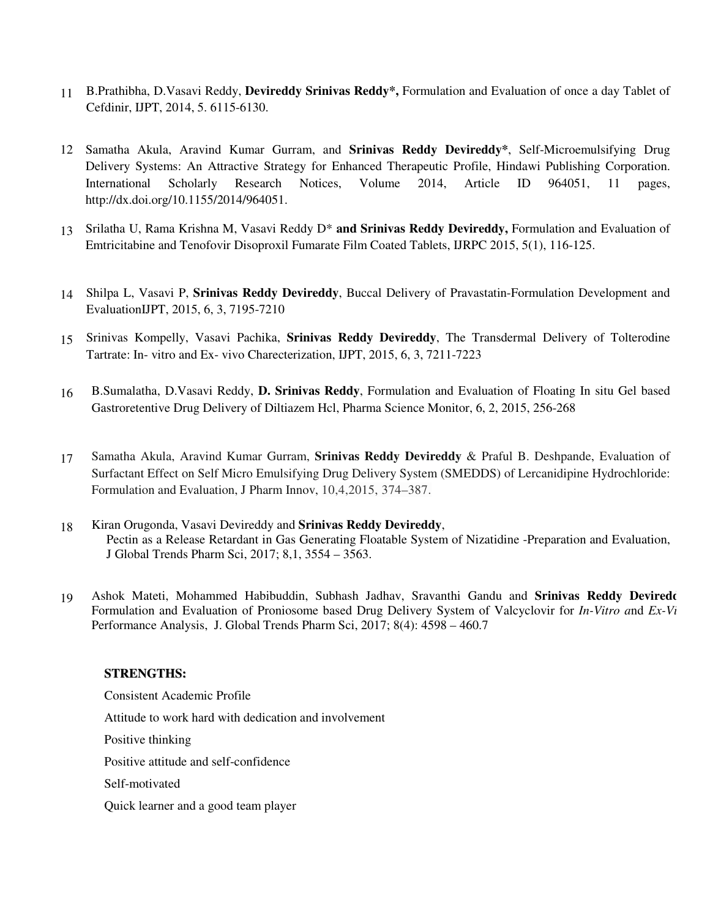- 11 B.Prathibha, D.Vasavi Reddy, **Devireddy Srinivas Reddy\*,** Formulation and Evaluation of once a day Tablet of Cefdinir, IJPT, 2014, 5. 6115-6130.
- 12 Samatha Akula, Aravind Kumar Gurram, and **Srinivas Reddy Devireddy\***, Self-Microemulsifying Drug Delivery Systems: An Attractive Strategy for Enhanced Therapeutic Profile, Hindawi Publishing Corporation. International Scholarly Research Notices, Volume 2014, Article ID 964051, 11 pages, http://dx.doi.org/10.1155/2014/964051.
- 13 Srilatha U, Rama Krishna M, Vasavi Reddy D\* **and Srinivas Reddy Devireddy,** Formulation and Evaluation of Emtricitabine and Tenofovir Disoproxil Fumarate Film Coated Tablets, IJRPC 2015, 5(1), 116-125.
- 14 Shilpa L, Vasavi P, **Srinivas Reddy Devireddy**, Buccal Delivery of Pravastatin-Formulation Development and EvaluationIJPT, 2015, 6, 3, 7195-7210
- 15 Srinivas Kompelly, Vasavi Pachika, **Srinivas Reddy Devireddy**, The Transdermal Delivery of Tolterodine Tartrate: In- vitro and Ex- vivo Charecterization, IJPT, 2015, 6, 3, 7211-7223
- 16 B.Sumalatha, D.Vasavi Reddy, **D. Srinivas Reddy**, Formulation and Evaluation of Floating In situ Gel based Gastroretentive Drug Delivery of Diltiazem Hcl, Pharma Science Monitor, 6, 2, 2015, 256-268
- 17 Samatha Akula, Aravind Kumar Gurram, **Srinivas Reddy Devireddy** & Praful B. Deshpande, Evaluation of Surfactant Effect on Self Micro Emulsifying Drug Delivery System (SMEDDS) of Lercanidipine Hydrochloride: Formulation and Evaluation, J Pharm Innov, 10,4,2015, 374–387.
- 18 Kiran Orugonda, Vasavi Devireddy and **Srinivas Reddy Devireddy**, Pectin as a Release Retardant in Gas Generating Floatable System of Nizatidine -Preparation and Evaluation, J Global Trends Pharm Sci, 2017; 8,1, 3554 – 3563.
- 19 Ashok Mateti, Mohammed Habibuddin, Subhash Jadhav, Sravanthi Gandu and **Srinivas Reddy Devireddy,** Formulation and Evaluation of Proniosome based Drug Delivery System of Valcyclovir for *In-Vitro and Ex-Vi* Performance Analysis, J. Global Trends Pharm Sci, 2017; 8(4): 4598 – 460.7

### **STRENGTHS:**

Consistent Academic Profile Attitude to work hard with dedication and involvement Positive thinking Positive attitude and self-confidence Self-motivated Quick learner and a good team player